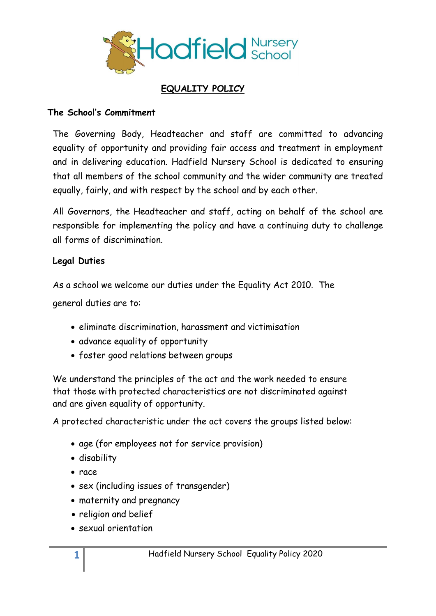

### **EQUALITY POLICY**

### **The School's Commitment**

The Governing Body, Headteacher and staff are committed to advancing equality of opportunity and providing fair access and treatment in employment and in delivering education. Hadfield Nursery School is dedicated to ensuring that all members of the school community and the wider community are treated equally, fairly, and with respect by the school and by each other.

All Governors, the Headteacher and staff, acting on behalf of the school are responsible for implementing the policy and have a continuing duty to challenge all forms of discrimination.

### **Legal Duties**

As a school we welcome our duties under the Equality Act 2010. The general duties are to:

- eliminate discrimination, harassment and victimisation
- advance equality of opportunity
- foster good relations between groups

We understand the principles of the act and the work needed to ensure that those with protected characteristics are not discriminated against and are given equality of opportunity.

A protected characteristic under the act covers the groups listed below:

- age (for employees not for service provision)
- disability
- race
- sex (including issues of transgender)
- maternity and pregnancy
- religion and belief
- sexual orientation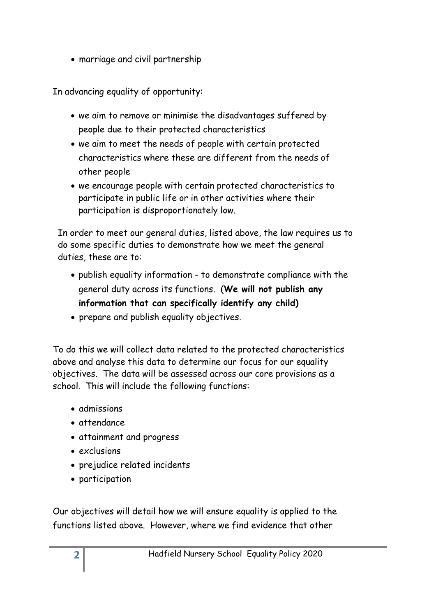marriage and civil partnership

In advancing equality of opportunity:

- we aim to remove or minimise the disadvantages suffered by people due to their protected characteristics
- we aim to meet the needs of people with certain protected characteristics where these are different from the needs of other people
- we encourage people with certain protected characteristics to participate in public life or in other activities where their participation is disproportionately low.

 In order to meet our general duties, listed above, the law requires us to do some specific duties to demonstrate how we meet the general duties, these are to:

- publish equality information to demonstrate compliance with the general duty across its functions. (**We will not publish any information that can specifically identify any child)**
- prepare and publish equality objectives.

To do this we will collect data related to the protected characteristics above and analyse this data to determine our focus for our equality objectives. The data will be assessed across our core provisions as a school. This will include the following functions:

- admissions
- attendance
- attainment and progress
- exclusions
- prejudice related incidents
- participation

Our objectives will detail how we will ensure equality is applied to the functions listed above. However, where we find evidence that other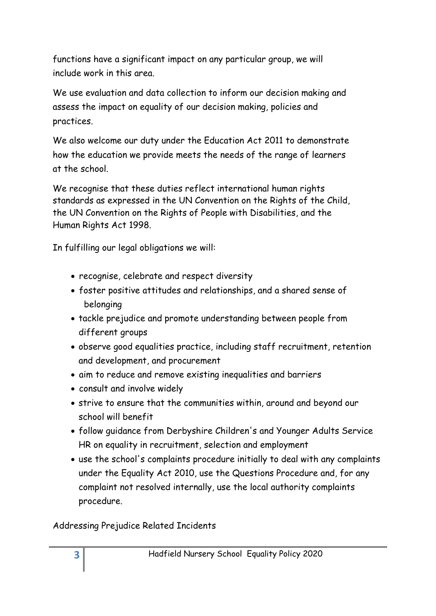functions have a significant impact on any particular group, we will include work in this area.

We use evaluation and data collection to inform our decision making and assess the impact on equality of our decision making, policies and practices.

We also welcome our duty under the Education Act 2011 to demonstrate how the education we provide meets the needs of the range of learners at the school.

We recognise that these duties reflect international human rights standards as expressed in the UN Convention on the Rights of the Child, the UN Convention on the Rights of People with Disabilities, and the Human Rights Act 1998.

In fulfilling our legal obligations we will:

- recognise, celebrate and respect diversity
- foster positive attitudes and relationships, and a shared sense of belonging
- tackle prejudice and promote understanding between people from different groups
- observe good equalities practice, including staff recruitment, retention and development, and procurement
- aim to reduce and remove existing inequalities and barriers
- consult and involve widely
- strive to ensure that the communities within, around and beyond our school will benefit
- follow guidance from Derbyshire Children's and Younger Adults Service HR on equality in recruitment, selection and employment
- use the school's complaints procedure initially to deal with any complaints under the Equality Act 2010, use the Questions Procedure and, for any complaint not resolved internally, use the local authority complaints procedure.

# Addressing Prejudice Related Incidents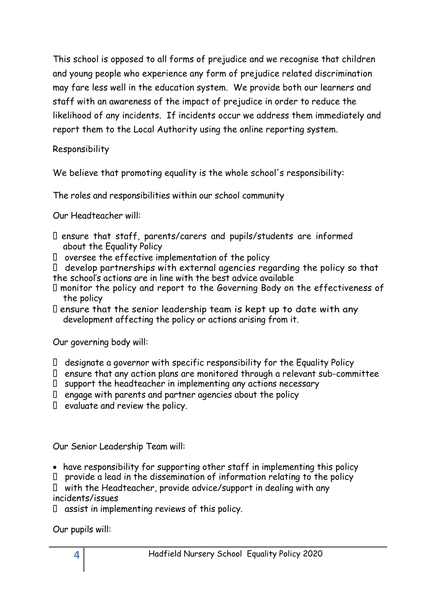This school is opposed to all forms of prejudice and we recognise that children and young people who experience any form of prejudice related discrimination may fare less well in the education system. We provide both our learners and staff with an awareness of the impact of prejudice in order to reduce the likelihood of any incidents. If incidents occur we address them immediately and report them to the Local Authority using the online reporting system.

# Responsibility

We believe that promoting equality is the whole school's responsibility:

The roles and responsibilities within our school community

Our Headteacher will:

- ensure that staff, parents/carers and pupils/students are informed about the Equality Policy
- $\Box$  oversee the effective implementation of the policy
- $\Box$  develop partnerships with external agencies regarding the policy so that the school's actions are in line with the best advice available
- monitor the policy and report to the Governing Body on the effectiveness of the policy
- $\Box$  ensure that the senior leadership team is kept up to date with any development affecting the policy or actions arising from it.

Our governing body will:

- designate a governor with specific responsibility for the Equality Policy
- $\Box$  ensure that any action plans are monitored through a relevant sub-committee
- support the headteacher in implementing any actions necessary
- $\Box$  engage with parents and partner agencies about the policy
- $\Box$  evaluate and review the policy.

Our Senior Leadership Team will:

- have responsibility for supporting other staff in implementing this policy
- $\Box$  provide a lead in the dissemination of information relating to the policy
- with the Headteacher, provide advice/support in dealing with any incidents/issues
- $\Box$  assist in implementing reviews of this policy.

Our pupils will: